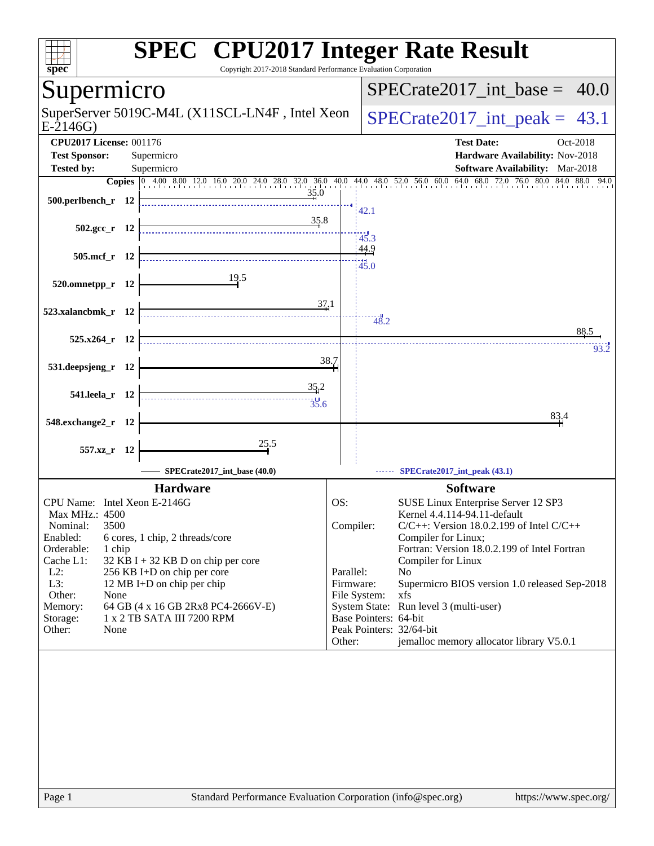| spec<br>Copyright 2017-2018 Standard Performance Evaluation Corporation                                                                                                                                                                                                                                                                                                                                                      | <b>SPEC<sup>®</sup></b> CPU2017 Integer Rate Result                                                                                                                                                                                                                                                                                                                                                                                                                                                                               |
|------------------------------------------------------------------------------------------------------------------------------------------------------------------------------------------------------------------------------------------------------------------------------------------------------------------------------------------------------------------------------------------------------------------------------|-----------------------------------------------------------------------------------------------------------------------------------------------------------------------------------------------------------------------------------------------------------------------------------------------------------------------------------------------------------------------------------------------------------------------------------------------------------------------------------------------------------------------------------|
| Supermicro                                                                                                                                                                                                                                                                                                                                                                                                                   | $SPECrate2017\_int\_base =$<br>40.0                                                                                                                                                                                                                                                                                                                                                                                                                                                                                               |
| SuperServer 5019C-M4L (X11SCL-LN4F, Intel Xeon<br>$E-2146G$                                                                                                                                                                                                                                                                                                                                                                  | $SPECrate2017\_int\_peak = 43.1$                                                                                                                                                                                                                                                                                                                                                                                                                                                                                                  |
| <b>CPU2017 License: 001176</b><br><b>Test Sponsor:</b><br>Supermicro<br><b>Tested by:</b><br>Supermicro                                                                                                                                                                                                                                                                                                                      | <b>Test Date:</b><br>Oct-2018<br>Hardware Availability: Nov-2018<br>Software Availability: Mar-2018                                                                                                                                                                                                                                                                                                                                                                                                                               |
| <b>Copies</b> 0 4.00 8.00 12.0 16.0 20.0 24.0 28.0 32.0 36.0 40.0 44.0 48.0 52.0 56.0 60.0<br>35.0<br>500.perlbench_r 12                                                                                                                                                                                                                                                                                                     | 64.0 68.0 72.0 76.0 80.0 84.0 88.0 94.0<br>42.1                                                                                                                                                                                                                                                                                                                                                                                                                                                                                   |
| 35.8<br>$502.\text{gcc r}$ 12                                                                                                                                                                                                                                                                                                                                                                                                | 45.3                                                                                                                                                                                                                                                                                                                                                                                                                                                                                                                              |
| 505.mcf_r 12<br>19.5                                                                                                                                                                                                                                                                                                                                                                                                         | 44.9<br>45.0                                                                                                                                                                                                                                                                                                                                                                                                                                                                                                                      |
| 520.omnetpp_r 12<br>37.1<br>523.xalancbmk_r 12                                                                                                                                                                                                                                                                                                                                                                               |                                                                                                                                                                                                                                                                                                                                                                                                                                                                                                                                   |
| 525.x264_r 12                                                                                                                                                                                                                                                                                                                                                                                                                | 48.2<br>88.5<br>93.2                                                                                                                                                                                                                                                                                                                                                                                                                                                                                                              |
| 531.deepsjeng_r 12                                                                                                                                                                                                                                                                                                                                                                                                           | 38.7                                                                                                                                                                                                                                                                                                                                                                                                                                                                                                                              |
| 35.2<br>541.leela_r 12<br>$\frac{1}{35.6}$                                                                                                                                                                                                                                                                                                                                                                                   | 83,4                                                                                                                                                                                                                                                                                                                                                                                                                                                                                                                              |
| 548.exchange2_r<br>- 12<br>25.5<br>557.xz_r<br>- 12                                                                                                                                                                                                                                                                                                                                                                          |                                                                                                                                                                                                                                                                                                                                                                                                                                                                                                                                   |
| SPECrate2017 int base (40.0)                                                                                                                                                                                                                                                                                                                                                                                                 | SPECrate2017_int_peak (43.1)                                                                                                                                                                                                                                                                                                                                                                                                                                                                                                      |
| <b>Hardware</b><br>CPU Name: Intel Xeon E-2146G<br>Max MHz.: 4500<br>Nominal:<br>3500<br>Enabled:<br>6 cores, 1 chip, 2 threads/core<br>Orderable:<br>1 chip<br>Cache L1:<br>32 KB I + 32 KB D on chip per core<br>$L2$ :<br>256 KB I+D on chip per core<br>L3:<br>12 MB I+D on chip per chip<br>Other:<br>None<br>Memory:<br>64 GB (4 x 16 GB 2Rx8 PC4-2666V-E)<br>1 x 2 TB SATA III 7200 RPM<br>Storage:<br>Other:<br>None | <b>Software</b><br>OS:<br>SUSE Linux Enterprise Server 12 SP3<br>Kernel 4.4.114-94.11-default<br>Compiler:<br>$C/C++$ : Version 18.0.2.199 of Intel $C/C++$<br>Compiler for Linux;<br>Fortran: Version 18.0.2.199 of Intel Fortran<br>Compiler for Linux<br>Parallel:<br>N <sub>o</sub><br>Firmware:<br>Supermicro BIOS version 1.0 released Sep-2018<br>File System:<br>xfs<br>System State: Run level 3 (multi-user)<br>Base Pointers: 64-bit<br>Peak Pointers: 32/64-bit<br>jemalloc memory allocator library V5.0.1<br>Other: |
| Standard Performance Evaluation Corporation (info@spec.org)<br>Page 1                                                                                                                                                                                                                                                                                                                                                        | https://www.spec.org/                                                                                                                                                                                                                                                                                                                                                                                                                                                                                                             |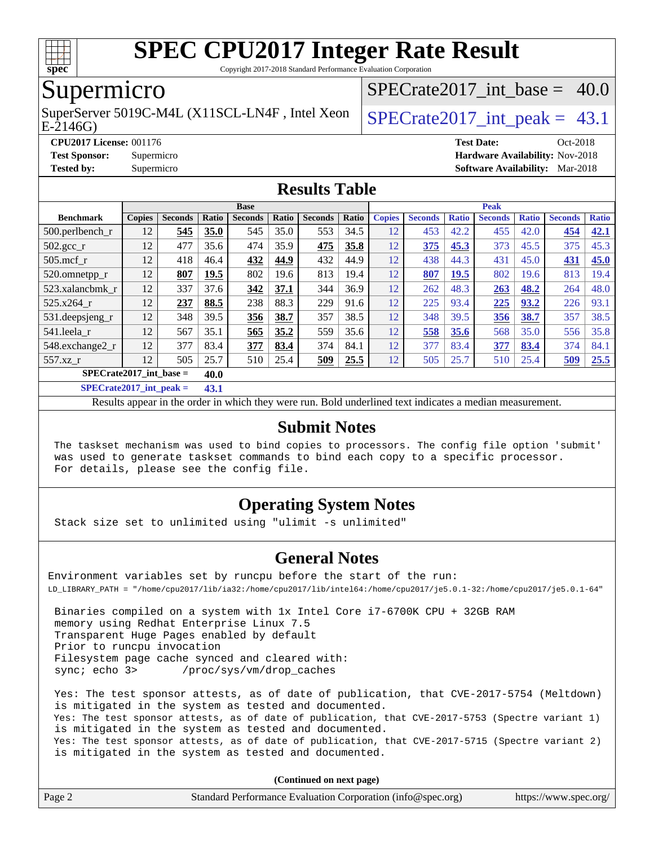

Copyright 2017-2018 Standard Performance Evaluation Corporation

### Supermicro

E-2146G) SuperServer 5019C-M4L (X11SCL-LN4F, Intel Xeon  $\big|$  SPECrate 2017 int peak = 43.1

SPECrate2017 int\_base =  $40.0$ 

**[CPU2017 License:](http://www.spec.org/auto/cpu2017/Docs/result-fields.html#CPU2017License)** 001176 **[Test Date:](http://www.spec.org/auto/cpu2017/Docs/result-fields.html#TestDate)** Oct-2018

**[Test Sponsor:](http://www.spec.org/auto/cpu2017/Docs/result-fields.html#TestSponsor)** Supermicro **[Hardware Availability:](http://www.spec.org/auto/cpu2017/Docs/result-fields.html#HardwareAvailability)** Nov-2018

**[Tested by:](http://www.spec.org/auto/cpu2017/Docs/result-fields.html#Testedby)** Supermicro **[Software Availability:](http://www.spec.org/auto/cpu2017/Docs/result-fields.html#SoftwareAvailability)** Mar-2018

#### **[Results Table](http://www.spec.org/auto/cpu2017/Docs/result-fields.html#ResultsTable)**

| <b>Base</b>                                                                           |               |                |        |                | <b>Peak</b> |                |       |               |                |              |                |              |                |              |
|---------------------------------------------------------------------------------------|---------------|----------------|--------|----------------|-------------|----------------|-------|---------------|----------------|--------------|----------------|--------------|----------------|--------------|
| <b>Benchmark</b>                                                                      | <b>Copies</b> | <b>Seconds</b> | Ratio  | <b>Seconds</b> | Ratio       | <b>Seconds</b> | Ratio | <b>Copies</b> | <b>Seconds</b> | <b>Ratio</b> | <b>Seconds</b> | <b>Ratio</b> | <b>Seconds</b> | <b>Ratio</b> |
| $500.$ perlbench r                                                                    | 12            | 545            | 35.0   | 545            | 35.0        | 553            | 34.5  | 12            | 453            | 42.2         | 455            | 42.0         | 454            | 42.1         |
| $502.\text{gcc}$ _r                                                                   | 12            | 477            | 35.6   | 474            | 35.9        | 475            | 35.8  | 12            | 375            | 45.3         | 373            | 45.5         | 375            | 45.3         |
| $505$ .mcf r                                                                          | 12            | 418            | 46.4   | 432            | 44.9        | 432            | 44.9  | 12            | 438            | 44.3         | 431            | 45.0         | 431            | 45.0         |
| 520.omnetpp_r                                                                         | 12            | 807            | 19.5   | 802            | 19.6        | 813            | 19.4  | 12            | 807            | 19.5         | 802            | 19.6         | 813            | 19.4         |
| 523.xalancbmk r                                                                       | 12            | 337            | 37.6   | 342            | 37.1        | 344            | 36.9  | 12            | 262            | 48.3         | 263            | 48.2         | 264            | 48.0         |
| 525.x264 r                                                                            | 12            | 237            | 88.5   | 238            | 88.3        | 229            | 91.6  | 12            | 225            | 93.4         | 225            | 93.2         | 226            | 93.1         |
| 531.deepsjeng_r                                                                       | 12            | 348            | 39.5   | 356            | 38.7        | 357            | 38.5  | 12            | 348            | 39.5         | 356            | 38.7         | 357            | 38.5         |
| 541.leela r                                                                           | 12            | 567            | 35.1   | 565            | 35.2        | 559            | 35.6  | 12            | 558            | 35.6         | 568            | 35.0         | 556            | 35.8         |
| 548.exchange2_r                                                                       | 12            | 377            | 83.4   | 377            | 83.4        | 374            | 84.1  | 12            | 377            | 83.4         | 377            | 83.4         | 374            | 84.1         |
| 557.xz r                                                                              | 12            | 505            | 25.7   | 510            | 25.4        | 509            | 25.5  | 12            | 505            | 25.7         | 510            | 25.4         | 509            | 25.5         |
| $SPECrate2017$ int base =                                                             |               |                | 40.0   |                |             |                |       |               |                |              |                |              |                |              |
| $CDT C1 A0 A1 A2 A3 A4 A5 A6 A7 A8 A9 A1 A1 A1 A1 A1 A1 A1 A1 A1 A1 A1 A1 A1 A1 A1 A$ |               |                | $\sim$ |                |             |                |       |               |                |              |                |              |                |              |

**[SPECrate2017\\_int\\_peak =](http://www.spec.org/auto/cpu2017/Docs/result-fields.html#SPECrate2017intpeak) 43.1**

Results appear in the [order in which they were run](http://www.spec.org/auto/cpu2017/Docs/result-fields.html#RunOrder). Bold underlined text [indicates a median measurement](http://www.spec.org/auto/cpu2017/Docs/result-fields.html#Median).

#### **[Submit Notes](http://www.spec.org/auto/cpu2017/Docs/result-fields.html#SubmitNotes)**

 The taskset mechanism was used to bind copies to processors. The config file option 'submit' was used to generate taskset commands to bind each copy to a specific processor. For details, please see the config file.

#### **[Operating System Notes](http://www.spec.org/auto/cpu2017/Docs/result-fields.html#OperatingSystemNotes)**

Stack size set to unlimited using "ulimit -s unlimited"

#### **[General Notes](http://www.spec.org/auto/cpu2017/Docs/result-fields.html#GeneralNotes)**

Environment variables set by runcpu before the start of the run: LD\_LIBRARY\_PATH = "/home/cpu2017/lib/ia32:/home/cpu2017/lib/intel64:/home/cpu2017/je5.0.1-32:/home/cpu2017/je5.0.1-64"

 Binaries compiled on a system with 1x Intel Core i7-6700K CPU + 32GB RAM memory using Redhat Enterprise Linux 7.5 Transparent Huge Pages enabled by default Prior to runcpu invocation Filesystem page cache synced and cleared with: sync; echo 3> /proc/sys/vm/drop\_caches

 Yes: The test sponsor attests, as of date of publication, that CVE-2017-5754 (Meltdown) is mitigated in the system as tested and documented. Yes: The test sponsor attests, as of date of publication, that CVE-2017-5753 (Spectre variant 1) is mitigated in the system as tested and documented. Yes: The test sponsor attests, as of date of publication, that CVE-2017-5715 (Spectre variant 2) is mitigated in the system as tested and documented.

**(Continued on next page)**

| Page 2 | Standard Performance Evaluation Corporation (info@spec.org) | https://www.spec.org/ |
|--------|-------------------------------------------------------------|-----------------------|
|--------|-------------------------------------------------------------|-----------------------|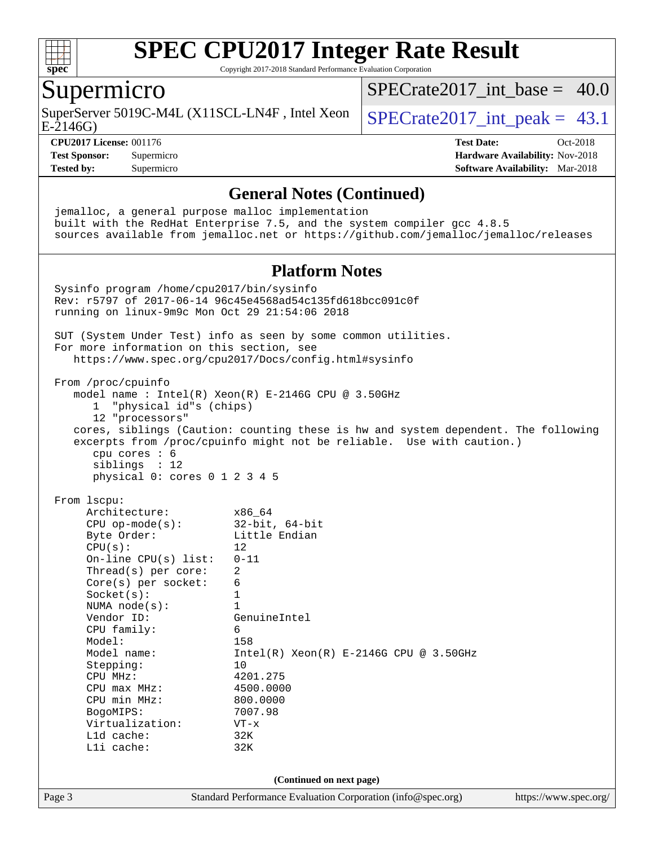

Copyright 2017-2018 Standard Performance Evaluation Corporation

#### Supermicro

SuperServer 5019C-M4L (X11SCL-LN4F, Intel Xeon  $\big|$  SPECrate 2017 int peak = 43.1

 $SPECrate2017\_int\_base = 40.0$ 

E-2146G)

#### **[CPU2017 License:](http://www.spec.org/auto/cpu2017/Docs/result-fields.html#CPU2017License)** 001176 **[Test Date:](http://www.spec.org/auto/cpu2017/Docs/result-fields.html#TestDate)** Oct-2018

**[Test Sponsor:](http://www.spec.org/auto/cpu2017/Docs/result-fields.html#TestSponsor)** Supermicro **[Hardware Availability:](http://www.spec.org/auto/cpu2017/Docs/result-fields.html#HardwareAvailability)** Nov-2018 **[Tested by:](http://www.spec.org/auto/cpu2017/Docs/result-fields.html#Testedby)** Supermicro **[Software Availability:](http://www.spec.org/auto/cpu2017/Docs/result-fields.html#SoftwareAvailability)** Mar-2018

**[General Notes \(Continued\)](http://www.spec.org/auto/cpu2017/Docs/result-fields.html#GeneralNotes)** jemalloc, a general purpose malloc implementation built with the RedHat Enterprise 7.5, and the system compiler gcc 4.8.5 sources available from jemalloc.net or <https://github.com/jemalloc/jemalloc/releases> **[Platform Notes](http://www.spec.org/auto/cpu2017/Docs/result-fields.html#PlatformNotes)** Sysinfo program /home/cpu2017/bin/sysinfo Rev: r5797 of 2017-06-14 96c45e4568ad54c135fd618bcc091c0f running on linux-9m9c Mon Oct 29 21:54:06 2018 SUT (System Under Test) info as seen by some common utilities. For more information on this section, see <https://www.spec.org/cpu2017/Docs/config.html#sysinfo> From /proc/cpuinfo model name : Intel(R) Xeon(R) E-2146G CPU @ 3.50GHz 1 "physical id"s (chips) 12 "processors" cores, siblings (Caution: counting these is hw and system dependent. The following excerpts from /proc/cpuinfo might not be reliable. Use with caution.) cpu cores : 6 siblings : 12 physical 0: cores 0 1 2 3 4 5 From lscpu: Architecture: x86\_64 CPU op-mode(s): 32-bit, 64-bit Byte Order: Little Endian  $CPU(s):$  12 On-line CPU(s) list: 0-11 Thread(s) per core: 2 Core(s) per socket: 6 Socket(s): 1 NUMA node(s): 1<br>Vendor ID: Ge GenuineIntel CPU family: 6 Model: 158 Model name: Intel(R) Xeon(R) E-2146G CPU @ 3.50GHz Stepping: 10 CPU MHz: 4201.275 CPU max MHz: 4500.0000 CPU min MHz: 800.0000 BogoMIPS: 7007.98 Virtualization: VT-x L1d cache: 32K L1i cache: 32K **(Continued on next page)**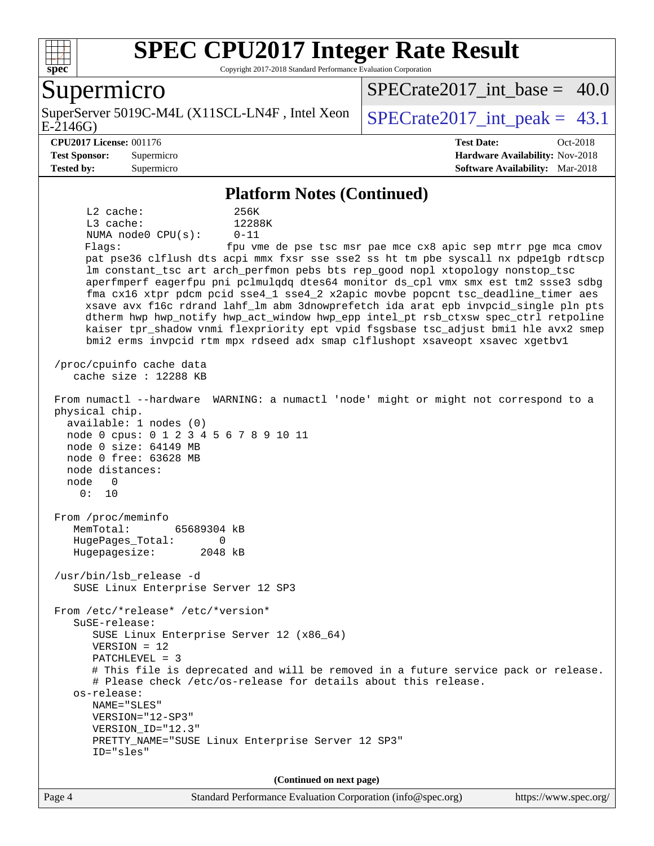

Copyright 2017-2018 Standard Performance Evaluation Corporation

#### Supermicro

E-2146G) SuperServer 5019C-M4L (X11SCL-LN4F, Intel Xeon  $\big|$  SPECrate 2017 int peak = 43.1

SPECrate2017 int\_base =  $40.0$ 

**[CPU2017 License:](http://www.spec.org/auto/cpu2017/Docs/result-fields.html#CPU2017License)** 001176 **[Test Date:](http://www.spec.org/auto/cpu2017/Docs/result-fields.html#TestDate)** Oct-2018 **[Test Sponsor:](http://www.spec.org/auto/cpu2017/Docs/result-fields.html#TestSponsor)** Supermicro **[Hardware Availability:](http://www.spec.org/auto/cpu2017/Docs/result-fields.html#HardwareAvailability)** Nov-2018 **[Tested by:](http://www.spec.org/auto/cpu2017/Docs/result-fields.html#Testedby)** Supermicro **[Software Availability:](http://www.spec.org/auto/cpu2017/Docs/result-fields.html#SoftwareAvailability)** Mar-2018

#### **[Platform Notes \(Continued\)](http://www.spec.org/auto/cpu2017/Docs/result-fields.html#PlatformNotes)**

 L2 cache: 256K L3 cache: 12288K NUMA node0 CPU(s): 0-11 Flags: fpu vme de pse tsc msr pae mce cx8 apic sep mtrr pge mca cmov pat pse36 clflush dts acpi mmx fxsr sse sse2 ss ht tm pbe syscall nx pdpe1gb rdtscp lm constant\_tsc art arch\_perfmon pebs bts rep\_good nopl xtopology nonstop\_tsc aperfmperf eagerfpu pni pclmulqdq dtes64 monitor ds\_cpl vmx smx est tm2 ssse3 sdbg fma cx16 xtpr pdcm pcid sse4\_1 sse4\_2 x2apic movbe popcnt tsc\_deadline\_timer aes xsave avx f16c rdrand lahf\_lm abm 3dnowprefetch ida arat epb invpcid\_single pln pts dtherm hwp hwp\_notify hwp\_act\_window hwp\_epp intel\_pt rsb\_ctxsw spec\_ctrl retpoline kaiser tpr\_shadow vnmi flexpriority ept vpid fsgsbase tsc\_adjust bmi1 hle avx2 smep bmi2 erms invpcid rtm mpx rdseed adx smap clflushopt xsaveopt xsavec xgetbv1 /proc/cpuinfo cache data cache size : 12288 KB From numactl --hardware WARNING: a numactl 'node' might or might not correspond to a physical chip. available: 1 nodes (0) node 0 cpus: 0 1 2 3 4 5 6 7 8 9 10 11 node 0 size: 64149 MB node 0 free: 63628 MB node distances: node 0 0: 10 From /proc/meminfo MemTotal: 65689304 kB HugePages\_Total: 0 Hugepagesize: 2048 kB /usr/bin/lsb\_release -d SUSE Linux Enterprise Server 12 SP3 From /etc/\*release\* /etc/\*version\* SuSE-release: SUSE Linux Enterprise Server 12 (x86\_64) VERSION = 12 PATCHLEVEL = 3 # This file is deprecated and will be removed in a future service pack or release. # Please check /etc/os-release for details about this release. os-release: NAME="SLES" VERSION="12-SP3" VERSION\_ID="12.3" PRETTY\_NAME="SUSE Linux Enterprise Server 12 SP3" ID="sles" **(Continued on next page)**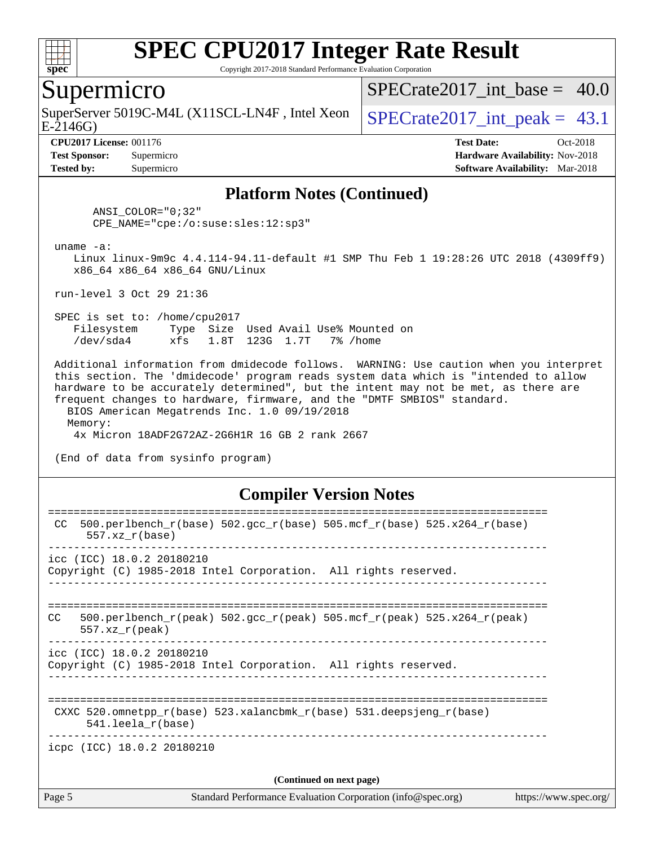

Copyright 2017-2018 Standard Performance Evaluation Corporation

#### Supermicro

E-2146G) SuperServer 5019C-M4L (X11SCL-LN4F, Intel Xeon  $\big|$  SPECrate 2017 int peak = 43.1

SPECrate2017 int\_base =  $40.0$ 

**[Tested by:](http://www.spec.org/auto/cpu2017/Docs/result-fields.html#Testedby)** Supermicro **[Software Availability:](http://www.spec.org/auto/cpu2017/Docs/result-fields.html#SoftwareAvailability)** Mar-2018

**[CPU2017 License:](http://www.spec.org/auto/cpu2017/Docs/result-fields.html#CPU2017License)** 001176 **[Test Date:](http://www.spec.org/auto/cpu2017/Docs/result-fields.html#TestDate)** Oct-2018 **[Test Sponsor:](http://www.spec.org/auto/cpu2017/Docs/result-fields.html#TestSponsor)** Supermicro **[Hardware Availability:](http://www.spec.org/auto/cpu2017/Docs/result-fields.html#HardwareAvailability)** Nov-2018

#### **[Platform Notes \(Continued\)](http://www.spec.org/auto/cpu2017/Docs/result-fields.html#PlatformNotes)**

 ANSI\_COLOR="0;32" CPE\_NAME="cpe:/o:suse:sles:12:sp3"

uname -a:

 Linux linux-9m9c 4.4.114-94.11-default #1 SMP Thu Feb 1 19:28:26 UTC 2018 (4309ff9) x86\_64 x86\_64 x86\_64 GNU/Linux

run-level 3 Oct 29 21:36

 SPEC is set to: /home/cpu2017 Filesystem Type Size Used Avail Use% Mounted on /dev/sda4 xfs 1.8T 123G 1.7T 7% /home

 Additional information from dmidecode follows. WARNING: Use caution when you interpret this section. The 'dmidecode' program reads system data which is "intended to allow hardware to be accurately determined", but the intent may not be met, as there are frequent changes to hardware, firmware, and the "DMTF SMBIOS" standard. BIOS American Megatrends Inc. 1.0 09/19/2018

 Memory: 4x Micron 18ADF2G72AZ-2G6H1R 16 GB 2 rank 2667

(End of data from sysinfo program)

#### **[Compiler Version Notes](http://www.spec.org/auto/cpu2017/Docs/result-fields.html#CompilerVersionNotes)**

| Page 5 | Standard Performance Evaluation Corporation (info@spec.org)<br>https://www.spec.org/                                    |
|--------|-------------------------------------------------------------------------------------------------------------------------|
|        | (Continued on next page)                                                                                                |
|        | icpc (ICC) 18.0.2 20180210                                                                                              |
|        | CXXC $520.\text{omnetpp_r(base)}$ $523.\text{xalancbmk_r(base)}$ $531.\text{deepsjeng_r(base)}$<br>$541.$ leela r(base) |
|        | icc (ICC) 18.0.2 20180210<br>Copyright (C) 1985-2018 Intel Corporation. All rights reserved.                            |
| CC.    | $500. perlbench_r (peak) 502. gcc_r (peak) 505. mcf_r (peak) 525. x264_r (peak)$<br>$557.xx$ r(peak)                    |
|        | icc (ICC) 18.0.2 20180210<br>Copyright (C) 1985-2018 Intel Corporation. All rights reserved.                            |
| CC.    | $500. perlbench_r(base) 502. gcc_r(base) 505. mcf_r(base) 525. x264_r(base)$<br>$557.xx$ $r(base)$                      |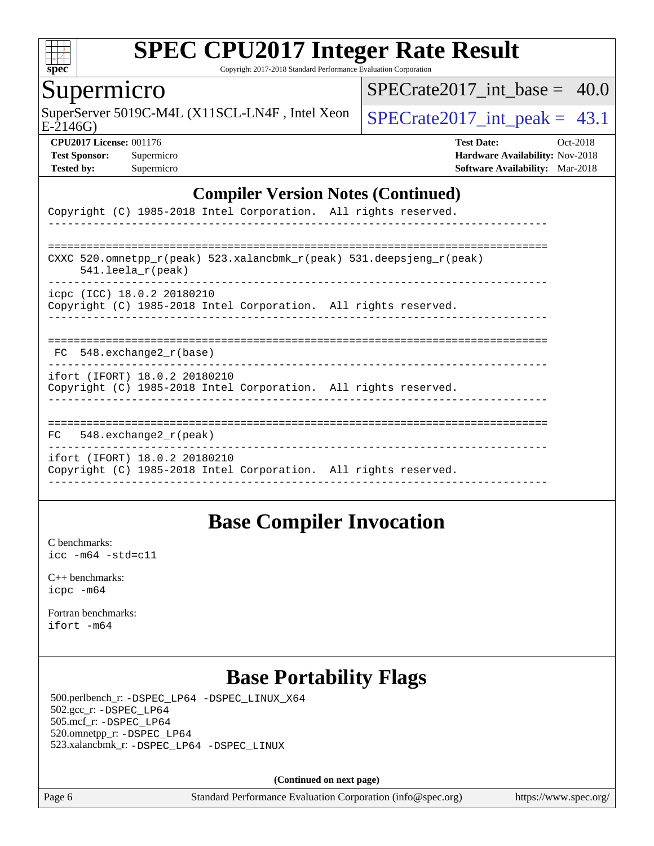

Copyright 2017-2018 Standard Performance Evaluation Corporation

#### Supermicro

SuperServer 5019C-M4L (X11SCL-LN4F, Intel Xeon  $\big|$  SPECrate 2017 int peak = 43.1

SPECrate2017 int\_base =  $40.0$ 

E-2146G)

**[Tested by:](http://www.spec.org/auto/cpu2017/Docs/result-fields.html#Testedby)** Supermicro **[Software Availability:](http://www.spec.org/auto/cpu2017/Docs/result-fields.html#SoftwareAvailability)** Mar-2018

**[CPU2017 License:](http://www.spec.org/auto/cpu2017/Docs/result-fields.html#CPU2017License)** 001176 **[Test Date:](http://www.spec.org/auto/cpu2017/Docs/result-fields.html#TestDate)** Oct-2018 **[Test Sponsor:](http://www.spec.org/auto/cpu2017/Docs/result-fields.html#TestSponsor)** Supermicro **[Hardware Availability:](http://www.spec.org/auto/cpu2017/Docs/result-fields.html#HardwareAvailability)** Nov-2018

#### **[Compiler Version Notes \(Continued\)](http://www.spec.org/auto/cpu2017/Docs/result-fields.html#CompilerVersionNotes)**

| Copyright (C) 1985-2018 Intel Corporation. All rights reserved.                                                         |
|-------------------------------------------------------------------------------------------------------------------------|
| CXXC 520.omnetpp $r(\text{peak})$ 523.xalancbmk $r(\text{peak})$ 531.deepsjeng $r(\text{peak})$<br>$541.$ leela r(peak) |
| icpc (ICC) 18.0.2 20180210<br>Copyright (C) 1985-2018 Intel Corporation. All rights reserved.                           |
| FC 548. exchange2 r(base)                                                                                               |
| ifort (IFORT) 18.0.2 20180210<br>Copyright (C) 1985-2018 Intel Corporation. All rights reserved.                        |
| 548.exchange2 r(peak)<br>FC.                                                                                            |
| ifort (IFORT) 18.0.2 20180210<br>Copyright (C) 1985-2018 Intel Corporation. All rights reserved.                        |

### **[Base Compiler Invocation](http://www.spec.org/auto/cpu2017/Docs/result-fields.html#BaseCompilerInvocation)**

[C benchmarks](http://www.spec.org/auto/cpu2017/Docs/result-fields.html#Cbenchmarks): [icc -m64 -std=c11](http://www.spec.org/cpu2017/results/res2018q4/cpu2017-20181112-09620.flags.html#user_CCbase_intel_icc_64bit_c11_33ee0cdaae7deeeab2a9725423ba97205ce30f63b9926c2519791662299b76a0318f32ddfffdc46587804de3178b4f9328c46fa7c2b0cd779d7a61945c91cd35)

[C++ benchmarks:](http://www.spec.org/auto/cpu2017/Docs/result-fields.html#CXXbenchmarks) [icpc -m64](http://www.spec.org/cpu2017/results/res2018q4/cpu2017-20181112-09620.flags.html#user_CXXbase_intel_icpc_64bit_4ecb2543ae3f1412ef961e0650ca070fec7b7afdcd6ed48761b84423119d1bf6bdf5cad15b44d48e7256388bc77273b966e5eb805aefd121eb22e9299b2ec9d9)

[Fortran benchmarks](http://www.spec.org/auto/cpu2017/Docs/result-fields.html#Fortranbenchmarks): [ifort -m64](http://www.spec.org/cpu2017/results/res2018q4/cpu2017-20181112-09620.flags.html#user_FCbase_intel_ifort_64bit_24f2bb282fbaeffd6157abe4f878425411749daecae9a33200eee2bee2fe76f3b89351d69a8130dd5949958ce389cf37ff59a95e7a40d588e8d3a57e0c3fd751)

### **[Base Portability Flags](http://www.spec.org/auto/cpu2017/Docs/result-fields.html#BasePortabilityFlags)**

 500.perlbench\_r: [-DSPEC\\_LP64](http://www.spec.org/cpu2017/results/res2018q4/cpu2017-20181112-09620.flags.html#b500.perlbench_r_basePORTABILITY_DSPEC_LP64) [-DSPEC\\_LINUX\\_X64](http://www.spec.org/cpu2017/results/res2018q4/cpu2017-20181112-09620.flags.html#b500.perlbench_r_baseCPORTABILITY_DSPEC_LINUX_X64) 502.gcc\_r: [-DSPEC\\_LP64](http://www.spec.org/cpu2017/results/res2018q4/cpu2017-20181112-09620.flags.html#suite_basePORTABILITY502_gcc_r_DSPEC_LP64) 505.mcf\_r: [-DSPEC\\_LP64](http://www.spec.org/cpu2017/results/res2018q4/cpu2017-20181112-09620.flags.html#suite_basePORTABILITY505_mcf_r_DSPEC_LP64) 520.omnetpp\_r: [-DSPEC\\_LP64](http://www.spec.org/cpu2017/results/res2018q4/cpu2017-20181112-09620.flags.html#suite_basePORTABILITY520_omnetpp_r_DSPEC_LP64) 523.xalancbmk\_r: [-DSPEC\\_LP64](http://www.spec.org/cpu2017/results/res2018q4/cpu2017-20181112-09620.flags.html#suite_basePORTABILITY523_xalancbmk_r_DSPEC_LP64) [-DSPEC\\_LINUX](http://www.spec.org/cpu2017/results/res2018q4/cpu2017-20181112-09620.flags.html#b523.xalancbmk_r_baseCXXPORTABILITY_DSPEC_LINUX)

**(Continued on next page)**

Page 6 Standard Performance Evaluation Corporation [\(info@spec.org\)](mailto:info@spec.org) <https://www.spec.org/>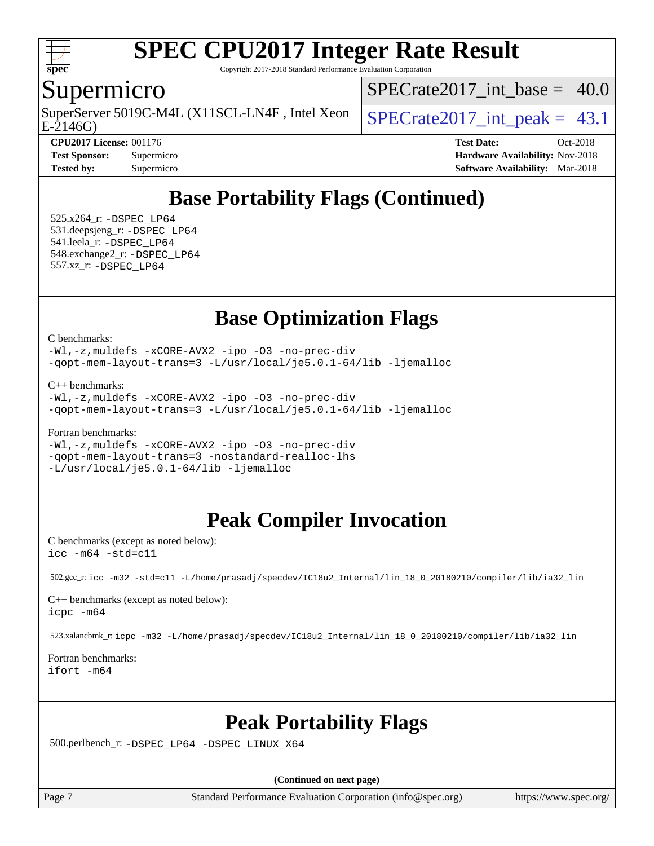

Copyright 2017-2018 Standard Performance Evaluation Corporation

### Supermicro

E-2146G) SuperServer 5019C-M4L (X11SCL-LN4F, Intel Xeon  $\big|$  SPECrate 2017 int peak = 43.1

SPECrate2017 int\_base =  $40.0$ 

**[CPU2017 License:](http://www.spec.org/auto/cpu2017/Docs/result-fields.html#CPU2017License)** 001176 **[Test Date:](http://www.spec.org/auto/cpu2017/Docs/result-fields.html#TestDate)** Oct-2018 **[Test Sponsor:](http://www.spec.org/auto/cpu2017/Docs/result-fields.html#TestSponsor)** Supermicro **[Hardware Availability:](http://www.spec.org/auto/cpu2017/Docs/result-fields.html#HardwareAvailability)** Nov-2018 **[Tested by:](http://www.spec.org/auto/cpu2017/Docs/result-fields.html#Testedby)** Supermicro **[Software Availability:](http://www.spec.org/auto/cpu2017/Docs/result-fields.html#SoftwareAvailability)** Mar-2018

### **[Base Portability Flags \(Continued\)](http://www.spec.org/auto/cpu2017/Docs/result-fields.html#BasePortabilityFlags)**

 525.x264\_r: [-DSPEC\\_LP64](http://www.spec.org/cpu2017/results/res2018q4/cpu2017-20181112-09620.flags.html#suite_basePORTABILITY525_x264_r_DSPEC_LP64) 531.deepsjeng\_r: [-DSPEC\\_LP64](http://www.spec.org/cpu2017/results/res2018q4/cpu2017-20181112-09620.flags.html#suite_basePORTABILITY531_deepsjeng_r_DSPEC_LP64) 541.leela\_r: [-DSPEC\\_LP64](http://www.spec.org/cpu2017/results/res2018q4/cpu2017-20181112-09620.flags.html#suite_basePORTABILITY541_leela_r_DSPEC_LP64) 548.exchange2\_r: [-DSPEC\\_LP64](http://www.spec.org/cpu2017/results/res2018q4/cpu2017-20181112-09620.flags.html#suite_basePORTABILITY548_exchange2_r_DSPEC_LP64) 557.xz\_r: [-DSPEC\\_LP64](http://www.spec.org/cpu2017/results/res2018q4/cpu2017-20181112-09620.flags.html#suite_basePORTABILITY557_xz_r_DSPEC_LP64)

### **[Base Optimization Flags](http://www.spec.org/auto/cpu2017/Docs/result-fields.html#BaseOptimizationFlags)**

[C benchmarks](http://www.spec.org/auto/cpu2017/Docs/result-fields.html#Cbenchmarks):

[-Wl,-z,muldefs](http://www.spec.org/cpu2017/results/res2018q4/cpu2017-20181112-09620.flags.html#user_CCbase_link_force_multiple1_b4cbdb97b34bdee9ceefcfe54f4c8ea74255f0b02a4b23e853cdb0e18eb4525ac79b5a88067c842dd0ee6996c24547a27a4b99331201badda8798ef8a743f577) [-xCORE-AVX2](http://www.spec.org/cpu2017/results/res2018q4/cpu2017-20181112-09620.flags.html#user_CCbase_f-xCORE-AVX2) [-ipo](http://www.spec.org/cpu2017/results/res2018q4/cpu2017-20181112-09620.flags.html#user_CCbase_f-ipo) [-O3](http://www.spec.org/cpu2017/results/res2018q4/cpu2017-20181112-09620.flags.html#user_CCbase_f-O3) [-no-prec-div](http://www.spec.org/cpu2017/results/res2018q4/cpu2017-20181112-09620.flags.html#user_CCbase_f-no-prec-div) [-qopt-mem-layout-trans=3](http://www.spec.org/cpu2017/results/res2018q4/cpu2017-20181112-09620.flags.html#user_CCbase_f-qopt-mem-layout-trans_de80db37974c74b1f0e20d883f0b675c88c3b01e9d123adea9b28688d64333345fb62bc4a798493513fdb68f60282f9a726aa07f478b2f7113531aecce732043) [-L/usr/local/je5.0.1-64/lib](http://www.spec.org/cpu2017/results/res2018q4/cpu2017-20181112-09620.flags.html#user_CCbase_jemalloc_link_path64_4b10a636b7bce113509b17f3bd0d6226c5fb2346b9178c2d0232c14f04ab830f976640479e5c33dc2bcbbdad86ecfb6634cbbd4418746f06f368b512fced5394) [-ljemalloc](http://www.spec.org/cpu2017/results/res2018q4/cpu2017-20181112-09620.flags.html#user_CCbase_jemalloc_link_lib_d1249b907c500fa1c0672f44f562e3d0f79738ae9e3c4a9c376d49f265a04b9c99b167ecedbf6711b3085be911c67ff61f150a17b3472be731631ba4d0471706)

[C++ benchmarks:](http://www.spec.org/auto/cpu2017/Docs/result-fields.html#CXXbenchmarks)

[-Wl,-z,muldefs](http://www.spec.org/cpu2017/results/res2018q4/cpu2017-20181112-09620.flags.html#user_CXXbase_link_force_multiple1_b4cbdb97b34bdee9ceefcfe54f4c8ea74255f0b02a4b23e853cdb0e18eb4525ac79b5a88067c842dd0ee6996c24547a27a4b99331201badda8798ef8a743f577) [-xCORE-AVX2](http://www.spec.org/cpu2017/results/res2018q4/cpu2017-20181112-09620.flags.html#user_CXXbase_f-xCORE-AVX2) [-ipo](http://www.spec.org/cpu2017/results/res2018q4/cpu2017-20181112-09620.flags.html#user_CXXbase_f-ipo) [-O3](http://www.spec.org/cpu2017/results/res2018q4/cpu2017-20181112-09620.flags.html#user_CXXbase_f-O3) [-no-prec-div](http://www.spec.org/cpu2017/results/res2018q4/cpu2017-20181112-09620.flags.html#user_CXXbase_f-no-prec-div) [-qopt-mem-layout-trans=3](http://www.spec.org/cpu2017/results/res2018q4/cpu2017-20181112-09620.flags.html#user_CXXbase_f-qopt-mem-layout-trans_de80db37974c74b1f0e20d883f0b675c88c3b01e9d123adea9b28688d64333345fb62bc4a798493513fdb68f60282f9a726aa07f478b2f7113531aecce732043) [-L/usr/local/je5.0.1-64/lib](http://www.spec.org/cpu2017/results/res2018q4/cpu2017-20181112-09620.flags.html#user_CXXbase_jemalloc_link_path64_4b10a636b7bce113509b17f3bd0d6226c5fb2346b9178c2d0232c14f04ab830f976640479e5c33dc2bcbbdad86ecfb6634cbbd4418746f06f368b512fced5394) [-ljemalloc](http://www.spec.org/cpu2017/results/res2018q4/cpu2017-20181112-09620.flags.html#user_CXXbase_jemalloc_link_lib_d1249b907c500fa1c0672f44f562e3d0f79738ae9e3c4a9c376d49f265a04b9c99b167ecedbf6711b3085be911c67ff61f150a17b3472be731631ba4d0471706)

[Fortran benchmarks](http://www.spec.org/auto/cpu2017/Docs/result-fields.html#Fortranbenchmarks):

[-Wl,-z,muldefs](http://www.spec.org/cpu2017/results/res2018q4/cpu2017-20181112-09620.flags.html#user_FCbase_link_force_multiple1_b4cbdb97b34bdee9ceefcfe54f4c8ea74255f0b02a4b23e853cdb0e18eb4525ac79b5a88067c842dd0ee6996c24547a27a4b99331201badda8798ef8a743f577) [-xCORE-AVX2](http://www.spec.org/cpu2017/results/res2018q4/cpu2017-20181112-09620.flags.html#user_FCbase_f-xCORE-AVX2) [-ipo](http://www.spec.org/cpu2017/results/res2018q4/cpu2017-20181112-09620.flags.html#user_FCbase_f-ipo) [-O3](http://www.spec.org/cpu2017/results/res2018q4/cpu2017-20181112-09620.flags.html#user_FCbase_f-O3) [-no-prec-div](http://www.spec.org/cpu2017/results/res2018q4/cpu2017-20181112-09620.flags.html#user_FCbase_f-no-prec-div) [-qopt-mem-layout-trans=3](http://www.spec.org/cpu2017/results/res2018q4/cpu2017-20181112-09620.flags.html#user_FCbase_f-qopt-mem-layout-trans_de80db37974c74b1f0e20d883f0b675c88c3b01e9d123adea9b28688d64333345fb62bc4a798493513fdb68f60282f9a726aa07f478b2f7113531aecce732043) [-nostandard-realloc-lhs](http://www.spec.org/cpu2017/results/res2018q4/cpu2017-20181112-09620.flags.html#user_FCbase_f_2003_std_realloc_82b4557e90729c0f113870c07e44d33d6f5a304b4f63d4c15d2d0f1fab99f5daaed73bdb9275d9ae411527f28b936061aa8b9c8f2d63842963b95c9dd6426b8a) [-L/usr/local/je5.0.1-64/lib](http://www.spec.org/cpu2017/results/res2018q4/cpu2017-20181112-09620.flags.html#user_FCbase_jemalloc_link_path64_4b10a636b7bce113509b17f3bd0d6226c5fb2346b9178c2d0232c14f04ab830f976640479e5c33dc2bcbbdad86ecfb6634cbbd4418746f06f368b512fced5394) [-ljemalloc](http://www.spec.org/cpu2017/results/res2018q4/cpu2017-20181112-09620.flags.html#user_FCbase_jemalloc_link_lib_d1249b907c500fa1c0672f44f562e3d0f79738ae9e3c4a9c376d49f265a04b9c99b167ecedbf6711b3085be911c67ff61f150a17b3472be731631ba4d0471706)

# **[Peak Compiler Invocation](http://www.spec.org/auto/cpu2017/Docs/result-fields.html#PeakCompilerInvocation)**

[C benchmarks \(except as noted below\)](http://www.spec.org/auto/cpu2017/Docs/result-fields.html#Cbenchmarksexceptasnotedbelow): [icc -m64 -std=c11](http://www.spec.org/cpu2017/results/res2018q4/cpu2017-20181112-09620.flags.html#user_CCpeak_intel_icc_64bit_c11_33ee0cdaae7deeeab2a9725423ba97205ce30f63b9926c2519791662299b76a0318f32ddfffdc46587804de3178b4f9328c46fa7c2b0cd779d7a61945c91cd35)

502.gcc\_r: [icc -m32 -std=c11 -L/home/prasadj/specdev/IC18u2\\_Internal/lin\\_18\\_0\\_20180210/compiler/lib/ia32\\_lin](http://www.spec.org/cpu2017/results/res2018q4/cpu2017-20181112-09620.flags.html#user_peakCCLD502_gcc_r_intel_icc_a481ac844e7127046fad14d498c730a1848fa901fbbb2c3dfdd5e9fbbac777c8009953946d55d8b6afe8ed0da70dd2b4f8dedbdf7ab1ee211ba70d24a5d89f85)

[C++ benchmarks \(except as noted below\):](http://www.spec.org/auto/cpu2017/Docs/result-fields.html#CXXbenchmarksexceptasnotedbelow) [icpc -m64](http://www.spec.org/cpu2017/results/res2018q4/cpu2017-20181112-09620.flags.html#user_CXXpeak_intel_icpc_64bit_4ecb2543ae3f1412ef961e0650ca070fec7b7afdcd6ed48761b84423119d1bf6bdf5cad15b44d48e7256388bc77273b966e5eb805aefd121eb22e9299b2ec9d9)

523.xalancbmk\_r: [icpc -m32 -L/home/prasadj/specdev/IC18u2\\_Internal/lin\\_18\\_0\\_20180210/compiler/lib/ia32\\_lin](http://www.spec.org/cpu2017/results/res2018q4/cpu2017-20181112-09620.flags.html#user_peakCXXLD523_xalancbmk_r_intel_icpc_c6d030cd79af6ea7d6fb64c57e8fe7ae8fe0b96fc5a3b3f4a10e3273b3d7fa9decd8263f6330cef23f751cb093a69fae84a2bf4c243500a8eed069248128076f)

[Fortran benchmarks](http://www.spec.org/auto/cpu2017/Docs/result-fields.html#Fortranbenchmarks): [ifort -m64](http://www.spec.org/cpu2017/results/res2018q4/cpu2017-20181112-09620.flags.html#user_FCpeak_intel_ifort_64bit_24f2bb282fbaeffd6157abe4f878425411749daecae9a33200eee2bee2fe76f3b89351d69a8130dd5949958ce389cf37ff59a95e7a40d588e8d3a57e0c3fd751)

### **[Peak Portability Flags](http://www.spec.org/auto/cpu2017/Docs/result-fields.html#PeakPortabilityFlags)**

500.perlbench\_r: [-DSPEC\\_LP64](http://www.spec.org/cpu2017/results/res2018q4/cpu2017-20181112-09620.flags.html#b500.perlbench_r_peakPORTABILITY_DSPEC_LP64) [-DSPEC\\_LINUX\\_X64](http://www.spec.org/cpu2017/results/res2018q4/cpu2017-20181112-09620.flags.html#b500.perlbench_r_peakCPORTABILITY_DSPEC_LINUX_X64)

**(Continued on next page)**

Page 7 Standard Performance Evaluation Corporation [\(info@spec.org\)](mailto:info@spec.org) <https://www.spec.org/>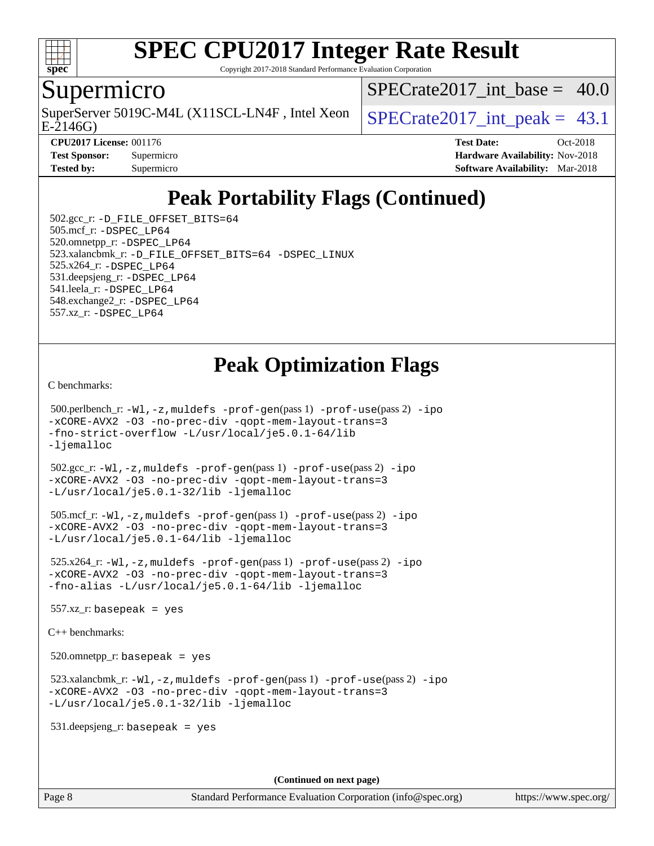

Copyright 2017-2018 Standard Performance Evaluation Corporation

#### Supermicro

SuperServer 5019C-M4L (X11SCL-LN4F, Intel Xeon  $\big|$  SPECrate 2017 int peak = 43.1

SPECrate2017 int\_base =  $40.0$ 

E-2146G)

**[CPU2017 License:](http://www.spec.org/auto/cpu2017/Docs/result-fields.html#CPU2017License)** 001176 **[Test Date:](http://www.spec.org/auto/cpu2017/Docs/result-fields.html#TestDate)** Oct-2018 **[Test Sponsor:](http://www.spec.org/auto/cpu2017/Docs/result-fields.html#TestSponsor)** Supermicro **[Hardware Availability:](http://www.spec.org/auto/cpu2017/Docs/result-fields.html#HardwareAvailability)** Nov-2018 **[Tested by:](http://www.spec.org/auto/cpu2017/Docs/result-fields.html#Testedby)** Supermicro **[Software Availability:](http://www.spec.org/auto/cpu2017/Docs/result-fields.html#SoftwareAvailability)** Mar-2018

# **[Peak Portability Flags \(Continued\)](http://www.spec.org/auto/cpu2017/Docs/result-fields.html#PeakPortabilityFlags)**

 502.gcc\_r: [-D\\_FILE\\_OFFSET\\_BITS=64](http://www.spec.org/cpu2017/results/res2018q4/cpu2017-20181112-09620.flags.html#user_peakPORTABILITY502_gcc_r_file_offset_bits_64_5ae949a99b284ddf4e95728d47cb0843d81b2eb0e18bdfe74bbf0f61d0b064f4bda2f10ea5eb90e1dcab0e84dbc592acfc5018bc955c18609f94ddb8d550002c) 505.mcf\_r: [-DSPEC\\_LP64](http://www.spec.org/cpu2017/results/res2018q4/cpu2017-20181112-09620.flags.html#suite_peakPORTABILITY505_mcf_r_DSPEC_LP64) 520.omnetpp\_r: [-DSPEC\\_LP64](http://www.spec.org/cpu2017/results/res2018q4/cpu2017-20181112-09620.flags.html#suite_peakPORTABILITY520_omnetpp_r_DSPEC_LP64) 523.xalancbmk\_r: [-D\\_FILE\\_OFFSET\\_BITS=64](http://www.spec.org/cpu2017/results/res2018q4/cpu2017-20181112-09620.flags.html#user_peakPORTABILITY523_xalancbmk_r_file_offset_bits_64_5ae949a99b284ddf4e95728d47cb0843d81b2eb0e18bdfe74bbf0f61d0b064f4bda2f10ea5eb90e1dcab0e84dbc592acfc5018bc955c18609f94ddb8d550002c) [-DSPEC\\_LINUX](http://www.spec.org/cpu2017/results/res2018q4/cpu2017-20181112-09620.flags.html#b523.xalancbmk_r_peakCXXPORTABILITY_DSPEC_LINUX) 525.x264\_r: [-DSPEC\\_LP64](http://www.spec.org/cpu2017/results/res2018q4/cpu2017-20181112-09620.flags.html#suite_peakPORTABILITY525_x264_r_DSPEC_LP64) 531.deepsjeng\_r: [-DSPEC\\_LP64](http://www.spec.org/cpu2017/results/res2018q4/cpu2017-20181112-09620.flags.html#suite_peakPORTABILITY531_deepsjeng_r_DSPEC_LP64) 541.leela\_r: [-DSPEC\\_LP64](http://www.spec.org/cpu2017/results/res2018q4/cpu2017-20181112-09620.flags.html#suite_peakPORTABILITY541_leela_r_DSPEC_LP64) 548.exchange2\_r: [-DSPEC\\_LP64](http://www.spec.org/cpu2017/results/res2018q4/cpu2017-20181112-09620.flags.html#suite_peakPORTABILITY548_exchange2_r_DSPEC_LP64) 557.xz\_r: [-DSPEC\\_LP64](http://www.spec.org/cpu2017/results/res2018q4/cpu2017-20181112-09620.flags.html#suite_peakPORTABILITY557_xz_r_DSPEC_LP64)

### **[Peak Optimization Flags](http://www.spec.org/auto/cpu2017/Docs/result-fields.html#PeakOptimizationFlags)**

[C benchmarks](http://www.spec.org/auto/cpu2017/Docs/result-fields.html#Cbenchmarks):

```
 500.perlbench_r: -Wl,-z,muldefs -prof-gen(pass 1) -prof-use(pass 2) -ipo
-xCORE-AVX2 -O3 -no-prec-div -qopt-mem-layout-trans=3
-fno-strict-overflow -L/usr/local/je5.0.1-64/lib
-ljemalloc
 502.gcc_r: -Wl,-z,muldefs -prof-gen(pass 1) -prof-use(pass 2) -ipo
-xCORE-AVX2 -O3 -no-prec-div -qopt-mem-layout-trans=3
-L/usr/local/je5.0.1-32/lib -ljemalloc
 505.mcf_r: -Wl,-z,muldefs -prof-gen(pass 1) -prof-use(pass 2) -ipo
-xCORE-AVX2 -O3 -no-prec-div -qopt-mem-layout-trans=3
-L/usr/local/je5.0.1-64/lib -ljemalloc
 525.x264_r: -Wl,-z,muldefs -prof-gen(pass 1) -prof-use(pass 2) -ipo
-xCORE-AVX2 -O3 -no-prec-div -qopt-mem-layout-trans=3
-fno-alias -L/usr/local/je5.0.1-64/lib -ljemalloc
557.xz_r: basepeak = yes
C++ benchmarks: 
520.omnetpp_r: basepeak = yes
 523.xalancbmk_r: -Wl,-z,muldefs -prof-gen(pass 1) -prof-use(pass 2) -ipo
-xCORE-AVX2 -O3 -no-prec-div -qopt-mem-layout-trans=3
-L/usr/local/je5.0.1-32/lib -ljemalloc
 531.deepsjeng_r: basepeak = yes
```
**(Continued on next page)**